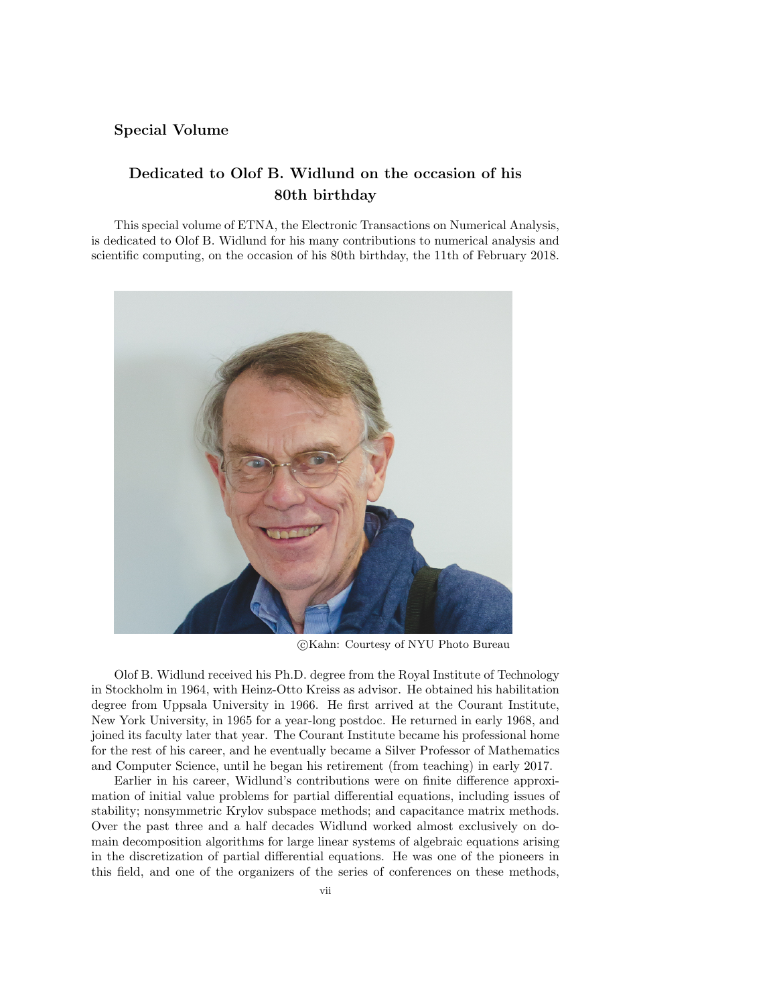## Special Volume

## Dedicated to Olof B. Widlund on the occasion of his 80th birthday

This special volume of ETNA, the Electronic Transactions on Numerical Analysis, is dedicated to Olof B. Widlund for his many contributions to numerical analysis and scientific computing, on the occasion of his 80th birthday, the 11th of February 2018.



c Kahn: Courtesy of NYU Photo Bureau

Olof B. Widlund received his Ph.D. degree from the Royal Institute of Technology in Stockholm in 1964, with Heinz-Otto Kreiss as advisor. He obtained his habilitation degree from Uppsala University in 1966. He first arrived at the Courant Institute, New York University, in 1965 for a year-long postdoc. He returned in early 1968, and joined its faculty later that year. The Courant Institute became his professional home for the rest of his career, and he eventually became a Silver Professor of Mathematics and Computer Science, until he began his retirement (from teaching) in early 2017.

Earlier in his career, Widlund's contributions were on finite difference approximation of initial value problems for partial differential equations, including issues of stability; nonsymmetric Krylov subspace methods; and capacitance matrix methods. Over the past three and a half decades Widlund worked almost exclusively on domain decomposition algorithms for large linear systems of algebraic equations arising in the discretization of partial differential equations. He was one of the pioneers in this field, and one of the organizers of the series of conferences on these methods,